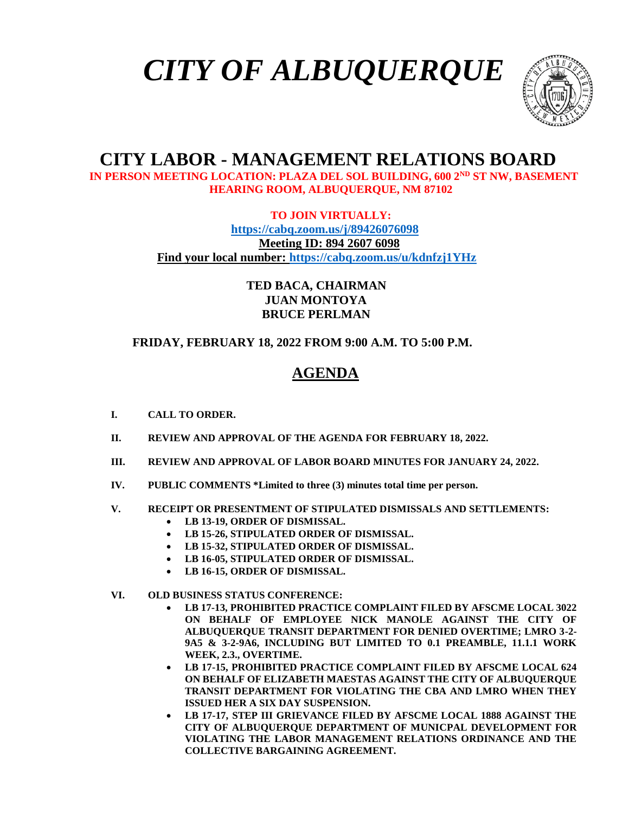



# **CITY LABOR - MANAGEMENT RELATIONS BOARD**

 **IN PERSON MEETING LOCATION: PLAZA DEL SOL BUILDING, 600 2ND ST NW, BASEMENT HEARING ROOM, ALBUQUERQUE, NM 87102**

**TO JOIN VIRTUALLY:**

 **<https://cabq.zoom.us/j/89426076098> Meeting ID: 894 2607 6098 Find your local number:<https://cabq.zoom.us/u/kdnfzj1YHz>**

> **TED BACA, CHAIRMAN JUAN MONTOYA BRUCE PERLMAN**

 **FRIDAY, FEBRUARY 18, 2022 FROM 9:00 A.M. TO 5:00 P.M.**

## **AGENDA**

- **I. CALL TO ORDER.**
- **II. REVIEW AND APPROVAL OF THE AGENDA FOR FEBRUARY 18, 2022.**
- **III. REVIEW AND APPROVAL OF LABOR BOARD MINUTES FOR JANUARY 24, 2022.**
- **IV. PUBLIC COMMENTS \*Limited to three (3) minutes total time per person.**
- **V. RECEIPT OR PRESENTMENT OF STIPULATED DISMISSALS AND SETTLEMENTS:**
	- **LB 13-19, ORDER OF DISMISSAL.**
	- **LB 15-26, STIPULATED ORDER OF DISMISSAL.**
	- **LB 15-32, STIPULATED ORDER OF DISMISSAL.**
	- **LB 16-05, STIPULATED ORDER OF DISMISSAL.**
	- **LB 16-15, ORDER OF DISMISSAL.**
- **VI. OLD BUSINESS STATUS CONFERENCE:**
	- **LB 17-13, PROHIBITED PRACTICE COMPLAINT FILED BY AFSCME LOCAL 3022 ON BEHALF OF EMPLOYEE NICK MANOLE AGAINST THE CITY OF ALBUQUERQUE TRANSIT DEPARTMENT FOR DENIED OVERTIME; LMRO 3-2- 9A5 & 3-2-9A6, INCLUDING BUT LIMITED TO 0.1 PREAMBLE, 11.1.1 WORK WEEK, 2.3., OVERTIME.**
	- **LB 17-15, PROHIBITED PRACTICE COMPLAINT FILED BY AFSCME LOCAL 624 ON BEHALF OF ELIZABETH MAESTAS AGAINST THE CITY OF ALBUQUERQUE TRANSIT DEPARTMENT FOR VIOLATING THE CBA AND LMRO WHEN THEY ISSUED HER A SIX DAY SUSPENSION.**
	- **LB 17-17, STEP III GRIEVANCE FILED BY AFSCME LOCAL 1888 AGAINST THE CITY OF ALBUQUERQUE DEPARTMENT OF MUNICPAL DEVELOPMENT FOR VIOLATING THE LABOR MANAGEMENT RELATIONS ORDINANCE AND THE COLLECTIVE BARGAINING AGREEMENT.**